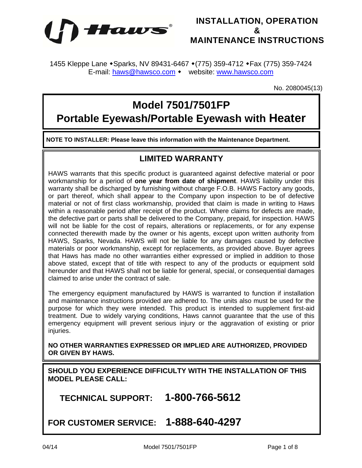



1455 Kleppe Lane • Sparks, NV 89431-6467 • (775) 359-4712 • Fax (775) 359-7424 E-mail: haws@hawsco.com • website: www.hawsco.com

No. 2080045(13)

# **Model 7501/7501FP**

**Portable Eyewash/Portable Eyewash with Heater** 

**NOTE TO INSTALLER: Please leave this information with the Maintenance Department.** 

## **LIMITED WARRANTY**

HAWS warrants that this specific product is guaranteed against defective material or poor workmanship for a period of **one year from date of shipment**. HAWS liability under this warranty shall be discharged by furnishing without charge F.O.B. HAWS Factory any goods, or part thereof, which shall appear to the Company upon inspection to be of defective material or not of first class workmanship, provided that claim is made in writing to Haws within a reasonable period after receipt of the product. Where claims for defects are made, the defective part or parts shall be delivered to the Company, prepaid, for inspection. HAWS will not be liable for the cost of repairs, alterations or replacements, or for any expense connected therewith made by the owner or his agents, except upon written authority from HAWS, Sparks, Nevada. HAWS will not be liable for any damages caused by defective materials or poor workmanship, except for replacements, as provided above. Buyer agrees that Haws has made no other warranties either expressed or implied in addition to those above stated, except that of title with respect to any of the products or equipment sold hereunder and that HAWS shall not be liable for general, special, or consequential damages claimed to arise under the contract of sale.

The emergency equipment manufactured by HAWS is warranted to function if installation and maintenance instructions provided are adhered to. The units also must be used for the purpose for which they were intended. This product is intended to supplement first-aid treatment. Due to widely varying conditions, Haws cannot guarantee that the use of this emergency equipment will prevent serious injury or the aggravation of existing or prior iniuries.

**NO OTHER WARRANTIES EXPRESSED OR IMPLIED ARE AUTHORIZED, PROVIDED OR GIVEN BY HAWS.**

**SHOULD YOU EXPERIENCE DIFFICULTY WITH THE INSTALLATION OF THIS MODEL PLEASE CALL:** 

 **TECHNICAL SUPPORT: 1-800-766-5612** 

**FOR CUSTOMER SERVICE: 1-888-640-4297**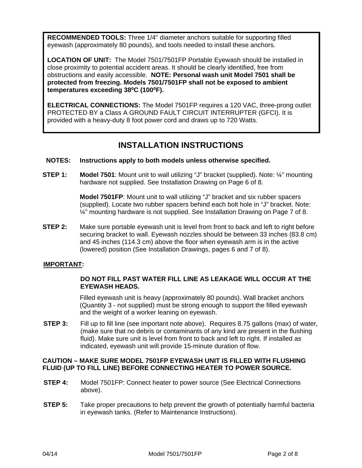**RECOMMENDED TOOLS:** Three 1/4" diameter anchors suitable for supporting filled eyewash (approximately 80 pounds), and tools needed to install these anchors.

**LOCATION OF UNIT:** The Model 7501/7501FP Portable Eyewash should be installed in close proximity to potential accident areas. It should be clearly identified, free from obstructions and easily accessible. **NOTE: Personal wash unit Model 7501 shall be protected from freezing. Models 7501/7501FP shall not be exposed to ambient temperatures exceeding 38⁰C (100⁰F).** 

**ELECTRICAL CONNECTIONS:** The Model 7501FP requires a 120 VAC, three-prong outlet PROTECTED BY a Class A GROUND FAULT CIRCUIT INTERRUPTER (GFCI). It is provided with a heavy-duty 8 foot power cord and draws up to 720 Watts.

# **INSTALLATION INSTRUCTIONS**

### **NOTES: Instructions apply to both models unless otherwise specified.**

**STEP 1: Model 7501**: Mount unit to wall utilizing "J" bracket (supplied). Note: ¼" mounting hardware not supplied. See Installation Drawing on Page 6 of 8.

> **Model 7501FP**: Mount unit to wall utilizing "J" bracket and six rubber spacers (supplied). Locate two rubber spacers behind each bolt hole in "J" bracket. Note: ¼" mounting hardware is not supplied. See Installation Drawing on Page 7 of 8.

**STEP 2:** Make sure portable eyewash unit is level from front to back and left to right before securing bracket to wall. Eyewash nozzles should be between 33 inches (83.8 cm) and 45 inches (114.3 cm) above the floor when eyewash arm is in the active (lowered) position (See Installation Drawings, pages 6 and 7 of 8).

#### **IMPORTANT:**

### **DO NOT FILL PAST WATER FILL LINE AS LEAKAGE WILL OCCUR AT THE EYEWASH HEADS.**

 Filled eyewash unit is heavy (approximately 80 pounds). Wall bracket anchors (Quantity 3 - not supplied) must be strong enough to support the filled eyewash and the weight of a worker leaning on eyewash.

**STEP 3:** Fill up to fill line (see important note above). Requires 8.75 gallons (max) of water, (make sure that no debris or contaminants of any kind are present in the flushing fluid). Make sure unit is level from front to back and left to right. If installed as indicated, eyewash unit will provide 15-minute duration of flow.

### **CAUTION – MAKE SURE MODEL 7501FP EYEWASH UNIT IS FILLED WITH FLUSHING FLUID (UP TO FILL LINE) BEFORE CONNECTING HEATER TO POWER SOURCE.**

- **STEP 4:** Model 7501FP: Connect heater to power source (See Electrical Connections above).
- **STEP 5:** Take proper precautions to help prevent the growth of potentially harmful bacteria in eyewash tanks. (Refer to Maintenance Instructions).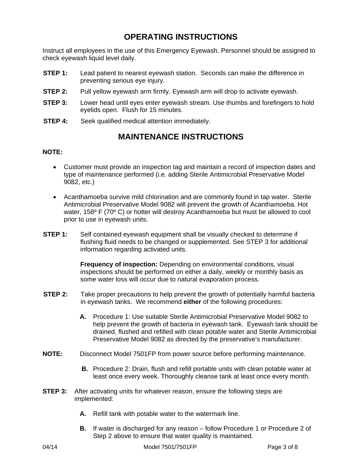# **OPERATING INSTRUCTIONS**

Instruct all employees in the use of this Emergency Eyewash. Personnel should be assigned to check eyewash liquid level daily.

- **STEP 1:** Lead patient to nearest eyewash station. Seconds can make the difference in preventing serious eye injury.
- **STEP 2:** Pull yellow eyewash arm firmly. Eyewash arm will drop to activate eyewash.
- **STEP 3:** Lower head until eyes enter eyewash stream. Use thumbs and forefingers to hold eyelids open. Flush for 15 minutes.
- **STEP 4:** Seek qualified medical attention immediately.

### **MAINTENANCE INSTRUCTIONS**

### **NOTE:**

- Customer must provide an inspection tag and maintain a record of inspection dates and type of maintenance performed (i.e. adding Sterile Antimicrobial Preservative Model 9082, etc.)
- Acanthamoeba survive mild chlorination and are commonly found in tap water. Sterile Antimicrobial Preservative Model 9082 will prevent the growth of Acanthamoeba. Hot water, 158º F (70º C) or hotter will destroy Acanthamoeba but must be allowed to cool prior to use in eyewash units.
- **STEP 1:** Self contained eyewash equipment shall be visually checked to determine if flushing fluid needs to be changed or supplemented. See STEP 3 for additional information regarding activated units.

**Frequency of inspection:** Depending on environmental conditions, visual inspections should be performed on either a daily, weekly or monthly basis as some water loss will occur due to natural evaporation process.

- **STEP 2:** Take proper precautions to help prevent the growth of potentially harmful bacteria in eyewash tanks. We recommend **either** of the following procedures:
	- **A.** Procedure 1: Use suitable Sterile Antimicrobial Preservative Model 9082 to help prevent the growth of bacteria in eyewash tank. Eyewash tank should be drained, flushed and refilled with clean potable water and Sterile Antimicrobial Preservative Model 9082 as directed by the preservative's manufacturer.
- **NOTE:** Disconnect Model 7501FP from power source before performing maintenance.
	- **B.** Procedure 2: Drain, flush and refill portable units with clean potable water at least once every week. Thoroughly cleanse tank at least once every month.
- **STEP 3:** After activating units for whatever reason, ensure the following steps are implemented:
	- **A.** Refill tank with potable water to the watermark line.
	- **B.** If water is discharged for any reason follow Procedure 1 or Procedure 2 of Step 2 above to ensure that water quality is maintained.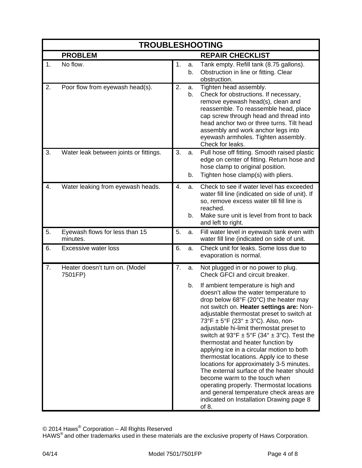| <b>TROUBLESHOOTING</b> |                                            |    |          |                                                                                                                                                                                                                                                                                                                                                                                                                                                                                                                                                                                                                                                                                                                                                                                       |  |  |  |  |  |  |  |  |
|------------------------|--------------------------------------------|----|----------|---------------------------------------------------------------------------------------------------------------------------------------------------------------------------------------------------------------------------------------------------------------------------------------------------------------------------------------------------------------------------------------------------------------------------------------------------------------------------------------------------------------------------------------------------------------------------------------------------------------------------------------------------------------------------------------------------------------------------------------------------------------------------------------|--|--|--|--|--|--|--|--|
|                        | <b>PROBLEM</b>                             |    |          | <b>REPAIR CHECKLIST</b>                                                                                                                                                                                                                                                                                                                                                                                                                                                                                                                                                                                                                                                                                                                                                               |  |  |  |  |  |  |  |  |
| 1.                     | No flow.                                   | 1. | a.<br>b. | Tank empty. Refill tank (8.75 gallons).<br>Obstruction in line or fitting. Clear<br>obstruction.                                                                                                                                                                                                                                                                                                                                                                                                                                                                                                                                                                                                                                                                                      |  |  |  |  |  |  |  |  |
| 2.                     | Poor flow from eyewash head(s).            | 2. | a.<br>b. | Tighten head assembly.<br>Check for obstructions. If necessary,<br>remove eyewash head(s), clean and<br>reassemble. To reassemble head, place<br>cap screw through head and thread into<br>head anchor two or three turns. Tilt head<br>assembly and work anchor legs into<br>eyewash armholes. Tighten assembly.<br>Check for leaks.                                                                                                                                                                                                                                                                                                                                                                                                                                                 |  |  |  |  |  |  |  |  |
| 3.                     | Water leak between joints or fittings.     | 3. | a.<br>b. | Pull hose off fitting. Smooth raised plastic<br>edge on center of fitting. Return hose and<br>hose clamp to original position.<br>Tighten hose clamp(s) with pliers.                                                                                                                                                                                                                                                                                                                                                                                                                                                                                                                                                                                                                  |  |  |  |  |  |  |  |  |
| 4.                     | Water leaking from eyewash heads.          | 4. | a.<br>b. | Check to see if water level has exceeded<br>water fill line (indicated on side of unit). If<br>so, remove excess water till fill line is<br>reached.<br>Make sure unit is level from front to back<br>and left to right.                                                                                                                                                                                                                                                                                                                                                                                                                                                                                                                                                              |  |  |  |  |  |  |  |  |
| 5.                     | Eyewash flows for less than 15<br>minutes. | 5. | a.       | Fill water level in eyewash tank even with<br>water fill line (indicated on side of unit.                                                                                                                                                                                                                                                                                                                                                                                                                                                                                                                                                                                                                                                                                             |  |  |  |  |  |  |  |  |
| 6.                     | <b>Excessive water loss</b>                | 6. | a.       | Check unit for leaks. Some loss due to<br>evaporation is normal.                                                                                                                                                                                                                                                                                                                                                                                                                                                                                                                                                                                                                                                                                                                      |  |  |  |  |  |  |  |  |
| 7.                     | Heater doesn't turn on. (Model<br>7501FP)  | 7. | a.       | Not plugged in or no power to plug.<br>Check GFCI and circuit breaker.                                                                                                                                                                                                                                                                                                                                                                                                                                                                                                                                                                                                                                                                                                                |  |  |  |  |  |  |  |  |
|                        |                                            |    | b.       | If ambient temperature is high and<br>doesn't allow the water temperature to<br>drop below 68°F (20°C) the heater may<br>not switch on. Heater settings are: Non-<br>adjustable thermostat preset to switch at<br>73°F ± 5°F (23° ± 3°C). Also, non-<br>adjustable hi-limit thermostat preset to<br>switch at $93^{\circ}F \pm 5^{\circ}F (34^{\circ} \pm 3^{\circ}C)$ . Test the<br>thermostat and heater function by<br>applying ice in a circular motion to both<br>thermostat locations. Apply ice to these<br>locations for approximately 3-5 minutes.<br>The external surface of the heater should<br>become warm to the touch when<br>operating properly. Thermostat locations<br>and general temperature check areas are<br>indicated on Installation Drawing page 8<br>of 8. |  |  |  |  |  |  |  |  |

© 2014 Haws $^{\circledR}$  Corporation – All Rights Reserved

HAWS<sup>®</sup> and other trademarks used in these materials are the exclusive property of Haws Corporation.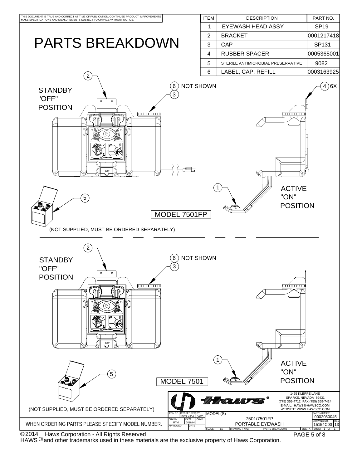

<code>HAWS</code>  $^{\circledR}$  and other trademarks used in these materials are the exclusive property of Haws Corporation.

PAGE 5 of 8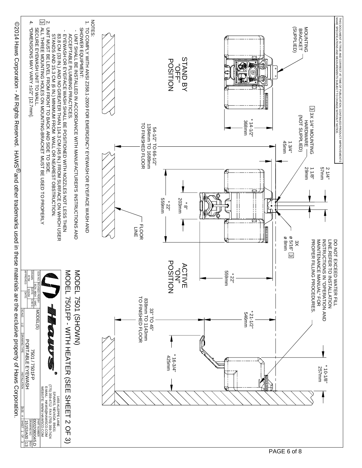

 Haws Corporation - All Rights Reserved.  $0.02014$  Haws Corporation - MI Rights Reserved. If  $X$ Wand other trademarks used in these materials are the exclusive property of Haws Corporation. ©2014 Haws Corporation - All Rights Reserved. HAWS® and other trademarks used in these materials are the exclusive property of Haws Corporation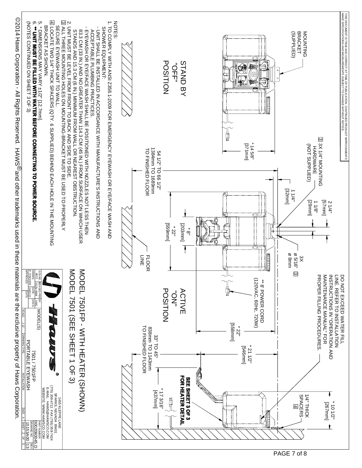| :<br><br>თ<br>(NOTES CONTINUED ON SHEET 3 OF 3)<br>** UNIT MUST BE FILLED WITH WATER BEFORE CONNECTING TO POWER SOURCE<br>* DINENSIONS MAY VARY +1/2" [12.7mm]                                                                                | 囚 LOCATE TWO 1/4" THICK SPACERS (QTY. 6 SUPPLIED) BEHIND EACH HOLE IN THE MOUNTING<br>BRACKET AS SHOWN.<br>SECURE EYEWASH UNIT TO WALL. | S SINT MUST BE LEVEL FROM FROM TO BOOF TO SIDE.<br>2. UNIT MUST BE LEVEL FROM FROM FROM TO BODE TO SIDE.<br>2. UNIT MUST BE LEVEL FROM FROM FROM FROM TILL THREE MOUNTING HOL FROM TILL THREE.<br>ALL THREE MOUNTING HOLES ON MOUNTING-BRACKET MUST BE USED TO PROPERLY<br>83.3 CM (33 IN.) AND NO GREATER THAN 114.3 CM (45 IN.) FROM SURFACE ON WHICH USER<br>STANDS AND 15.3 CM (6 IN.) MINIMUM FROM WALL OR NEAREST OBSTRUCTION<br>EYEWASH OR EYE/FACE WASH SHALL BE POSITIONED WITH NOZZLES NOT LESS THEN<br><b>ACCEPTABLE PLUMBING PRACTICES</b><br>UNIT SHALL BE INSTALLED IN ACCORDANCE WITH MANUFACTURE'S INSTRUCTIONS AND | <b>NOTES</b><br>TO COMPLY WITH ANSI Z358.1-2009 FOR EMERGENCY EYEWASH OR EYE/FACE WASH AND<br>SHOWER EQUIPMENT: | 1384mm TO 1689mm<br><b>TO FINISHED FLOOR</b><br>54 1/2" TO 66 1/2"<br>드<br>쥬 | <b>POSITION</b><br>Ō<br>ŢŢ<br>[uuu699]<br>52 <sup>1</sup> | STAND BY<br>[203mm]<br>$\frac{8}{10}$        |         | Q<br>$\overline{\circ}$<br>$\circ$<br>mana ami<br>$*14.5/8"$<br>[mm/22]<br>∞ | <b>BRACKET</b><br>MOUNTING<br>(SUPPLIED)<br>[mm2ɛ]<br>1/11<br><b>ø 5/16</b> "<br>ø 8mm<br>$\approx$ | 33 3X 1/4" MOUNTING<br>(NOT SUPPLIED)<br><b>HARDNARE</b><br>[uuu/9]<br>[29mm]<br>118 <sup>n</sup><br>21/4"                   | THIS DOCUMENT IS TRUE AND CORRECT AT TIME OF PUBLICATION. CONTINUED PRODUCT IMPROVEMENTS<br>MAKE SPECIFICATIONS AND MEASUREMENTS SUBJECT TO CHANGE WITHOUT NOTICE. |
|-----------------------------------------------------------------------------------------------------------------------------------------------------------------------------------------------------------------------------------------------|-----------------------------------------------------------------------------------------------------------------------------------------|-------------------------------------------------------------------------------------------------------------------------------------------------------------------------------------------------------------------------------------------------------------------------------------------------------------------------------------------------------------------------------------------------------------------------------------------------------------------------------------------------------------------------------------------------------------------------------------------------------------------------------------|-----------------------------------------------------------------------------------------------------------------|------------------------------------------------------------------------------|-----------------------------------------------------------|----------------------------------------------|---------|------------------------------------------------------------------------------|-----------------------------------------------------------------------------------------------------|------------------------------------------------------------------------------------------------------------------------------|--------------------------------------------------------------------------------------------------------------------------------------------------------------------|
| DRAWN:<br>P. FISCHER<br>APPROVED:<br>ECN <sup>1</sup><br>$\leq$<br>.  REVISED PER BY:<br>  ECN: 4904   VWC<br> ECN: 4904   VWC<br>  DATE:   PATE:<br><b>SCALE:</b> 1:12<br>MODEL(S)<br>DRAWING TY<br>PORTABLE EYEWASH<br><b>7501 / 7501FP</b> | Θ                                                                                                                                       | NODEL 7501FP - WITH HEATER (SHONN)<br>NODEL 7501 (SEE SHEET 1 OF 3)                                                                                                                                                                                                                                                                                                                                                                                                                                                                                                                                                                 |                                                                                                                 | <b>FLOOR</b><br><b>TO FINISHED FLOOR</b><br>838mm TO 1143mm<br>33" TO 45"    | <b>POSITION</b><br>$\vec{Q}$                              | <b>ACTIVE</b>                                | [mm8sg] | (120VAC, 60Hz, 720W)<br>** 8'POWER CORD<br>22"<br>[uuug+s]<br>211/2"         | $\omega$                                                                                            | INSTRUCTIONS IN "OPERATION AND<br>MAINTENANCE MANUAL" FOR<br>PROPER FILLING PROCEDURES.<br><b>INE. REFER TO INSTALLATION</b> | <b>DO NOT EXCEED WATER FILL</b>                                                                                                                                    |
| <b>NOILATILATION</b><br><b>SIZE:</b><br>$\geq$<br><b>Previving NO.</b> REV<br>15153A00 13<br><u>1 SHEET 2 OF 3</u><br>0002080045.D<br>PART NUMBER                                                                                             | B A45S KLEPPE LANG<br>SPAGS ALEPPE LANG<br>SPAGA 112 FAX (756) 359-7424<br>E-MAIL: HAWS@HAWSCO.COM<br>WEBSITE: WWW.HAWSCO.COM           |                                                                                                                                                                                                                                                                                                                                                                                                                                                                                                                                                                                                                                     |                                                                                                                 | [437mm]                                                                      | 173/16"                                                   | <b>FOR HEATER DETAIL</b><br>SEE SHEET 3 OF 3 |         |                                                                              | <b>1/4" THICK</b><br>SPACERS<br>$\overline{4}$                                                      | $*101/2"$<br>[267mm]                                                                                                         |                                                                                                                                                                    |

 Haws Corporation - All Rights Reserved.  $\rm 50214$  Haws Corporation -  $\rm \Sigma$  TRights Reserved.  $\rm \pm$  NAWS  $\rm \odot$  and other trademarks used in these materials are the exclusive property of Haws Corporation. ©2014 Haws Corporation - All Rights Reserved. HAWS<sup>®</sup>and other trademarks used in these materials are the exclusive property of Haws Corporation.